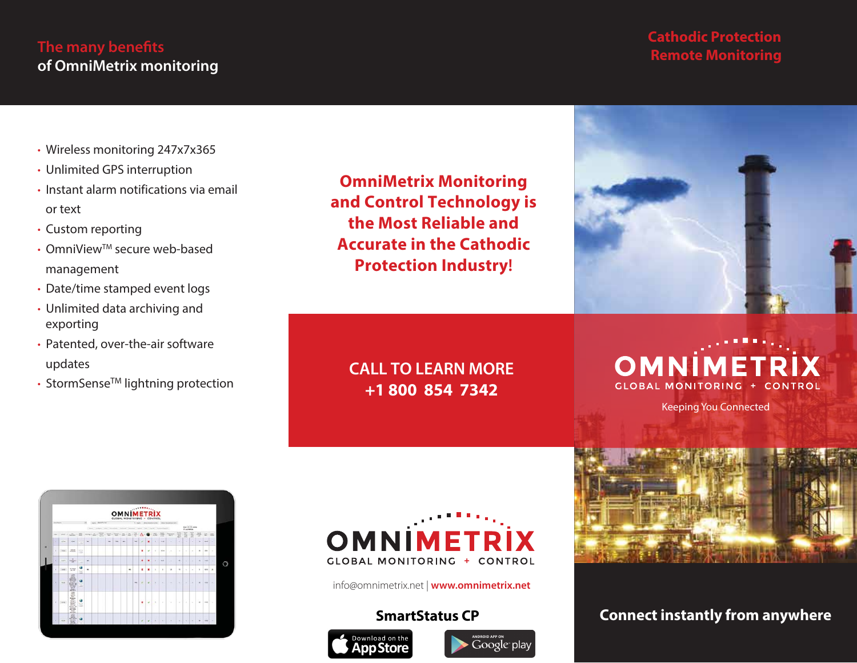# **The many benefits of OmniMetrix monitoring**

### **Cathodic Protection Remote Monitoring**

- Wireless monitoring 247x7x365
- Unlimited GPS interruption
- Instant alarm notifications via email or text
- Custom reporting
- OmniView<sup>™</sup> secure web-based management
- Date/time stamped event logs
- Unlimited data archiving and exporting
- Patented, over-the-air software updates
- StormSense<sup>™</sup> lightning protection

**OmniMetrix Monitoring and Control Technology is the Most Reliable and Accurate in the Cathodic Protection Industry!**



**CALL TO LEARN MORE +1 800 854 7342**

**GLOBAL MONITORING** 

Keeping You Connected



# **OMNIMETRIX**



info@omnimetrix.net | **www.omnimetrix.net**

### **SmartStatus CP**





# **Connect instantly from anywhere**